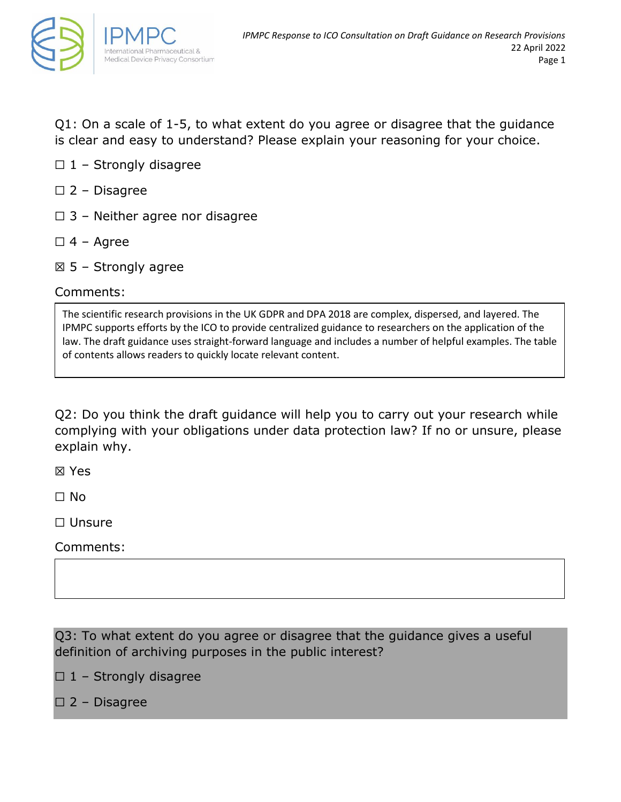

Q1: On a scale of 1-5, to what extent do you agree or disagree that the guidance is clear and easy to understand? Please explain your reasoning for your choice.

- $\Box$  1 Strongly disagree
- ☐ 2 Disagree
- $\Box$  3 Neither agree nor disagree
- $\square$  4 Agree
- $\boxtimes$  5 Strongly agree

## Comments:

The scientific research provisions in the UK GDPR and DPA 2018 are complex, dispersed, and layered. The IPMPC supports efforts by the ICO to provide centralized guidance to researchers on the application of the law. The draft guidance uses straight-forward language and includes a number of helpful examples. The table of contents allows readers to quickly locate relevant content.

Q2: Do you think the draft guidance will help you to carry out your research while complying with your obligations under data protection law? If no or unsure, please explain why.

☒ Yes

☐ No

☐ Unsure

Comments:

Q3: To what extent do you agree or disagree that the guidance gives a useful definition of archiving purposes in the public interest?

 $\Box$  1 – Strongly disagree

## $\square$  2 – Disagree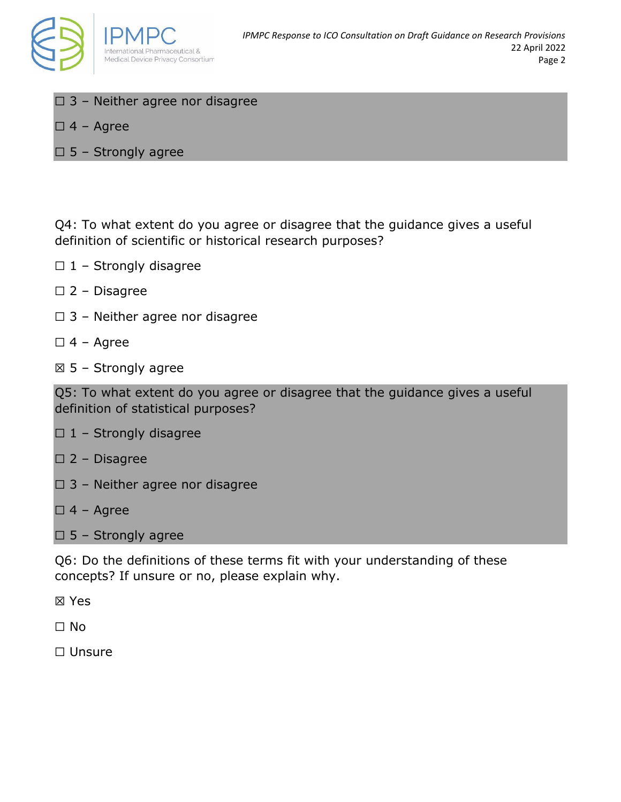

- ☐ 3 Neither agree nor disagree
- $\square$  4 Agree
- $\Box$  5 Strongly agree

Q4: To what extent do you agree or disagree that the guidance gives a useful definition of scientific or historical research purposes?

- $\Box$  1 Strongly disagree
- $\square$  2 Disagree
- $\Box$  3 Neither agree nor disagree
- $\Box$  4 Agree
- $\boxtimes$  5 Strongly agree

Q5: To what extent do you agree or disagree that the guidance gives a useful definition of statistical purposes?

- $\Box$  1 Strongly disagree
- ☐ 2 Disagree
- $\Box$  3 Neither agree nor disagree
- $\square$  4 Agree
- $\Box$  5 Strongly agree

Q6: Do the definitions of these terms fit with your understanding of these concepts? If unsure or no, please explain why.

☒ Yes

- ☐ No
- ☐ Unsure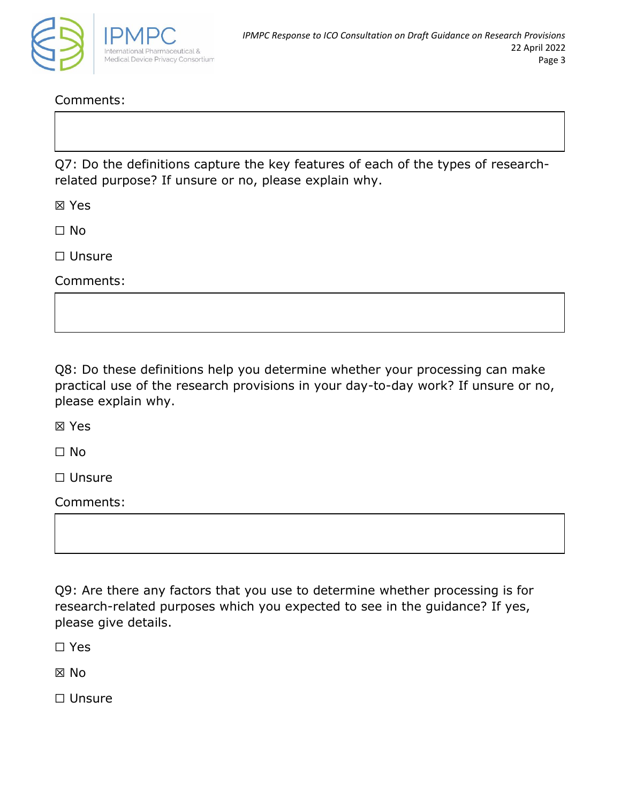

Comments:

Q7: Do the definitions capture the key features of each of the types of researchrelated purpose? If unsure or no, please explain why.

☒ Yes

☐ No

☐ Unsure

Comments:

Q8: Do these definitions help you determine whether your processing can make practical use of the research provisions in your day-to-day work? If unsure or no, please explain why.

☒ Yes

☐ No

☐ Unsure

Comments:

Q9: Are there any factors that you use to determine whether processing is for research-related purposes which you expected to see in the guidance? If yes, please give details.

☐ Yes

☒ No

☐ Unsure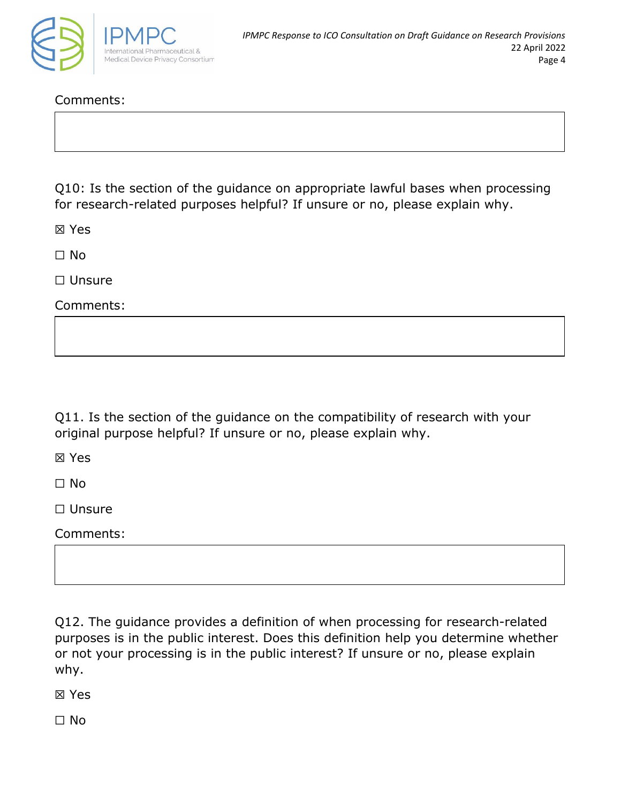

Comments:

Q10: Is the section of the guidance on appropriate lawful bases when processing for research-related purposes helpful? If unsure or no, please explain why.

☒ Yes

☐ No

☐ Unsure

Comments:

Q11. Is the section of the guidance on the compatibility of research with your original purpose helpful? If unsure or no, please explain why.

☒ Yes

☐ No

☐ Unsure

Comments:

Q12. The guidance provides a definition of when processing for research-related purposes is in the public interest. Does this definition help you determine whether or not your processing is in the public interest? If unsure or no, please explain why.

☒ Yes

☐ No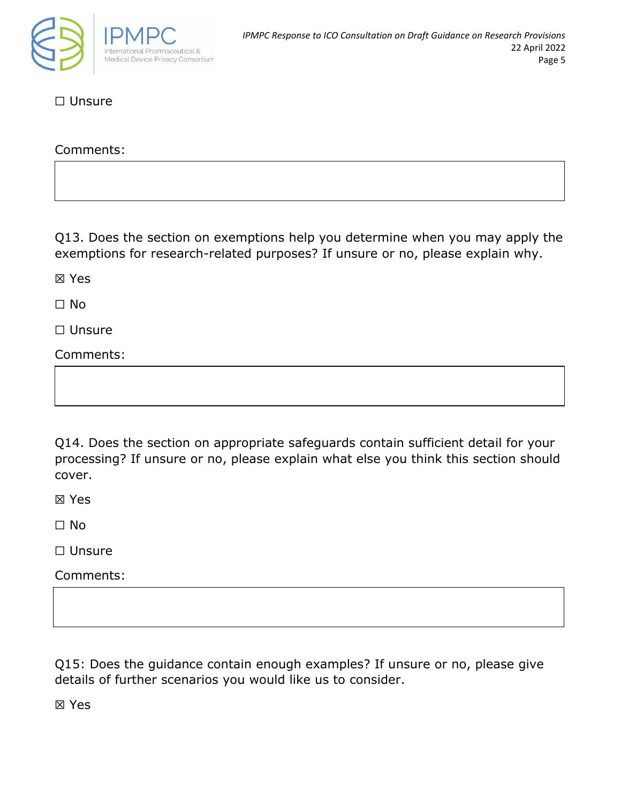

☐ Unsure

Comments:

Q13. Does the section on exemptions help you determine when you may apply the exemptions for research-related purposes? If unsure or no, please explain why.

☒ Yes

☐ No

☐ Unsure

Comments:

Q14. Does the section on appropriate safeguards contain sufficient detail for your processing? If unsure or no, please explain what else you think this section should cover.

☒ Yes

☐ No

☐ Unsure

Comments:

Q15: Does the guidance contain enough examples? If unsure or no, please give details of further scenarios you would like us to consider.

☒ Yes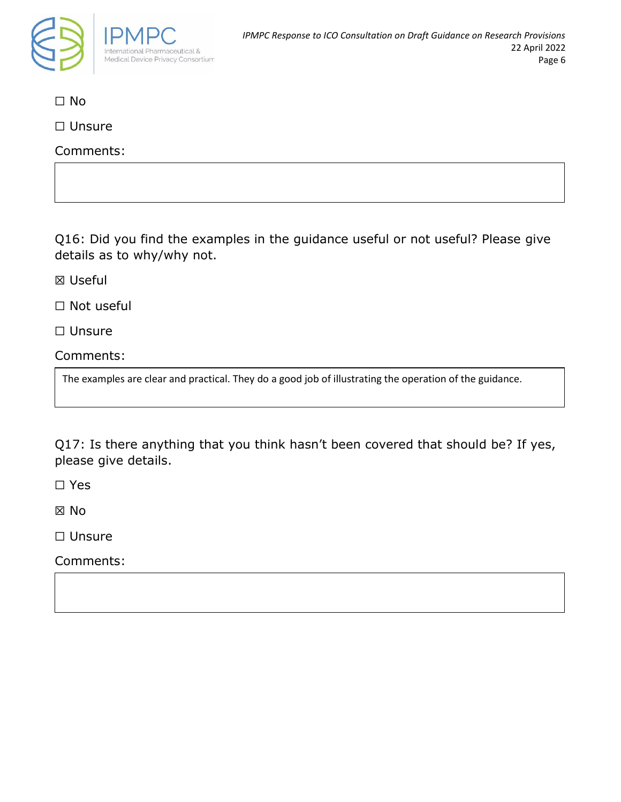

☐ No

☐ Unsure

Comments:

Q16: Did you find the examples in the guidance useful or not useful? Please give details as to why/why not.

☒ Useful

☐ Not useful

☐ Unsure

Comments:

The examples are clear and practical. They do a good job of illustrating the operation of the guidance.

Q17: Is there anything that you think hasn't been covered that should be? If yes, please give details.

☐ Yes

☒ No

☐ Unsure

Comments: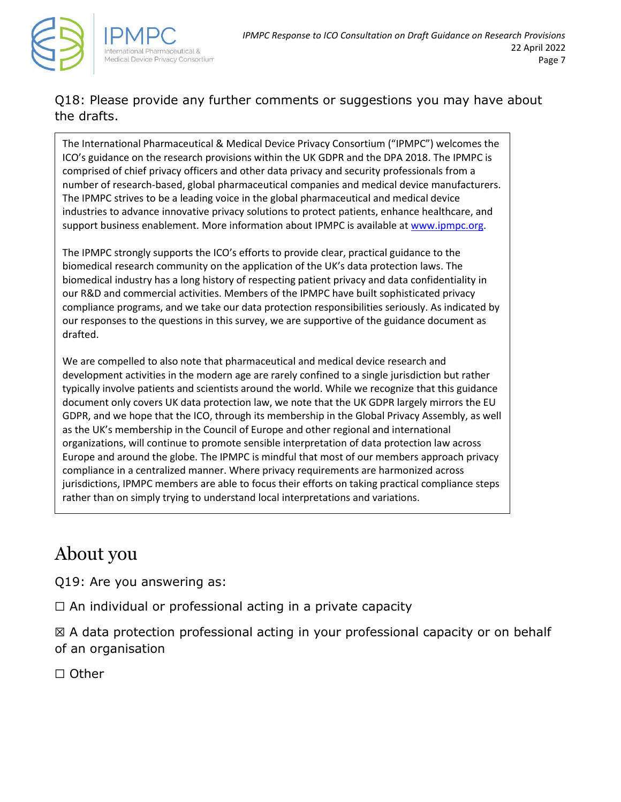

Q18: Please provide any further comments or suggestions you may have about the drafts.

The International Pharmaceutical & Medical Device Privacy Consortium ("IPMPC") welcomes the ICO's guidance on the research provisions within the UK GDPR and the DPA 2018. The IPMPC is comprised of chief privacy officers and other data privacy and security professionals from a number of research-based, global pharmaceutical companies and medical device manufacturers. The IPMPC strives to be a leading voice in the global pharmaceutical and medical device industries to advance innovative privacy solutions to protect patients, enhance healthcare, and support business enablement. More information about IPMPC is available at [www.ipmpc.org.](http://www.ipmpc.org/)

The IPMPC strongly supports the ICO's efforts to provide clear, practical guidance to the biomedical research community on the application of the UK's data protection laws. The biomedical industry has a long history of respecting patient privacy and data confidentiality in our R&D and commercial activities. Members of the IPMPC have built sophisticated privacy compliance programs, and we take our data protection responsibilities seriously. As indicated by our responses to the questions in this survey, we are supportive of the guidance document as drafted.

We are compelled to also note that pharmaceutical and medical device research and development activities in the modern age are rarely confined to a single jurisdiction but rather typically involve patients and scientists around the world. While we recognize that this guidance document only covers UK data protection law, we note that the UK GDPR largely mirrors the EU GDPR, and we hope that the ICO, through its membership in the Global Privacy Assembly, as well as the UK's membership in the Council of Europe and other regional and international organizations, will continue to promote sensible interpretation of data protection law across Europe and around the globe. The IPMPC is mindful that most of our members approach privacy compliance in a centralized manner. Where privacy requirements are harmonized across jurisdictions, IPMPC members are able to focus their efforts on taking practical compliance steps rather than on simply trying to understand local interpretations and variations.

# About you

Q19: Are you answering as:

 $\Box$  An individual or professional acting in a private capacity

☒ A data protection professional acting in your professional capacity or on behalf of an organisation

☐ Other